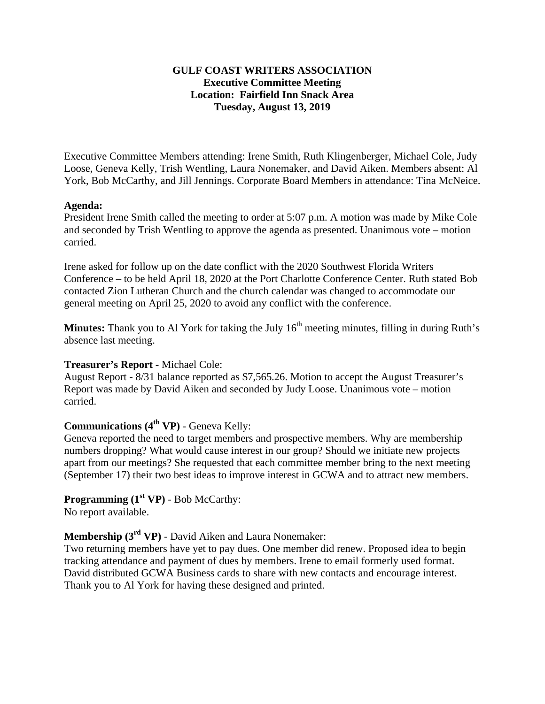### **GULF COAST WRITERS ASSOCIATION Executive Committee Meeting Location: Fairfield Inn Snack Area Tuesday, August 13, 2019**

Executive Committee Members attending: Irene Smith, Ruth Klingenberger, Michael Cole, Judy Loose, Geneva Kelly, Trish Wentling, Laura Nonemaker, and David Aiken. Members absent: Al York, Bob McCarthy, and Jill Jennings. Corporate Board Members in attendance: Tina McNeice.

#### **Agenda:**

President Irene Smith called the meeting to order at 5:07 p.m. A motion was made by Mike Cole and seconded by Trish Wentling to approve the agenda as presented. Unanimous vote – motion carried.

Irene asked for follow up on the date conflict with the 2020 Southwest Florida Writers Conference – to be held April 18, 2020 at the Port Charlotte Conference Center. Ruth stated Bob contacted Zion Lutheran Church and the church calendar was changed to accommodate our general meeting on April 25, 2020 to avoid any conflict with the conference.

**Minutes:** Thank you to Al York for taking the July 16<sup>th</sup> meeting minutes, filling in during Ruth's absence last meeting.

## **Treasurer's Report** - Michael Cole:

August Report - 8/31 balance reported as \$7,565.26. Motion to accept the August Treasurer's Report was made by David Aiken and seconded by Judy Loose. Unanimous vote – motion carried.

# **Communications (4<sup>th</sup> VP)** - Geneva Kelly:

Geneva reported the need to target members and prospective members. Why are membership numbers dropping? What would cause interest in our group? Should we initiate new projects apart from our meetings? She requested that each committee member bring to the next meeting (September 17) their two best ideas to improve interest in GCWA and to attract new members.

#### **Programming (1<sup>st</sup> VP)** - Bob McCarthy: No report available.

# **Membership (3rd VP)** - David Aiken and Laura Nonemaker:

Two returning members have yet to pay dues. One member did renew. Proposed idea to begin tracking attendance and payment of dues by members. Irene to email formerly used format. David distributed GCWA Business cards to share with new contacts and encourage interest. Thank you to Al York for having these designed and printed.